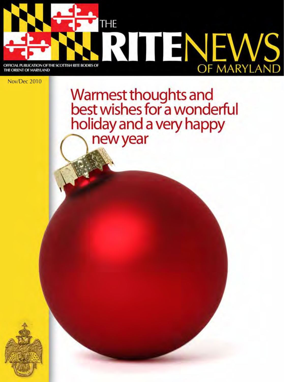

THE ORIENT OF MARYLAND

Nov/Dec 2010

Warmest thoughts and<br>best wishes for a wonderful holiday and a very happy new year

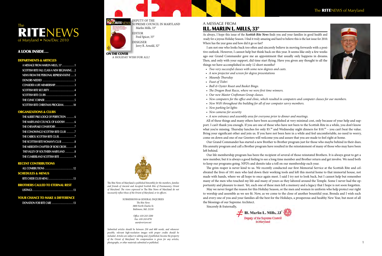As always, I hope this issue of the *Scottish Rite News* finds you and your families in good health and ready for a joyous Holiday Season. I find it truly amazing and hard to believe this is the last issue for 2010. As always, I hope this issue of the *Scottish Rite News* finds you and your families in good health and Where has the year gone and how did it go so fast?

I am not one who looks back too often and sincerely believe in moving forwards with a positive outlook. However, I cannot help but think back on this year. It seems like only a few weeks ago our Grand Commander gave me an appointment that usually only happens in dreams. Then, and only with your support, did time start flying. Have you given any thought to all the things we have accomplished in only 12 short months?

- *• Two very successful classes with some new degrees and casts.*
- *• A new projector and screen for degree presentations*
- *• Maundy Thursday*
- *• Feast of Tishri*
- *• Bull & Oyster Roast and Basket Bingo.*
- *• The Dragon Boat Races, where we were first time winners.*
- *• Our new Master Craftsman Group classes.*
- New computers for the office and clinic, which resulted in computers and computer classes for our members.
- *• New WiFi throughout the building for all of our computer savvy members.*
- *• New parking lot lights*
- *• New cameras for security*
- *• A new entrance and assembly area for everyone prior to dinner and meetings.*

All of these things and many others have been accomplished at very minimal cost, only because of your help and support. I can't thank you enough. If you are one of those who have not been to the Scottish Rite in a while, you don't know what you're missing. Thursday lunches for only  $$5.0\degree$  and Wednesday night dinners for  $$10.0\degree$  – you can't beat the value. Bring your significant other and join us. If you have not been here in a while and feel uncomfortable, no need to worry, come on down and one of our Greeters will welcome you and assure that you are made to feel right at home.

Our Grand Commander has started a new Brother to Brother program just for those who maybe behind in their dues. His annuity program and call a Brother program have resulted in the reinstatement of many of those who may have been left behind.

Our life membership program has been the recipient of several of those reinstated Brothers. It is always great to get a new member, but it is always a good feeling to see a long time member and Brother return and get involve. We need both to keep our programs going. NPD's and demits take a toll on our membership each year.

2 1 *photographs, or other materials submitted or published. Submitted articles should be between 250 and 600 words, and whenever possible, relevant high-resolution images with proper credits should be included. Articles are subject to editing and, if published, become the property of the Orient of Maryland. No compensation is given for any articles,*

The grim reaper is never kind to us. We recently conducted our first Memorial Service at the Scottish Rite and celebrated the lives of 101 men who laid down their working tools and left this mortal home to that immortal house, not made with hands, where we all hope to once again meet. I said I try not to look back, but I cannot help but remember many of the men who touched my life and many of yours as they labored around the Temple. Some I never had the opportunity and pleasure to meet. Yet, each one of these men left a memory and a legacy that I hope is not soon forgotten. May we never forget the reason for this Holiday Season, or the men and women in uniform who help protect our right to worship and assemble as we see fit. Now, as we come to the close of another bountiful year, Brenda and I wish each and every one of you and your families all the best for the Holidays, a prosperous and healthy New Year, but most of all

the blessings of our Supreme Architect.

Sincerely & fraternally,



#### The **RITE**NEWS of Maryland



#### A look inside...

#### Departments & Articles

| A MESSAGE FROM MARLIN MILLS, 33° 1               |
|--------------------------------------------------|
| <b>SCOTTISH RITE FALL CLASS A NEW BEGINNING2</b> |
| NEWS FROM THE PERSONAL REPRESENTATIVE 3          |
|                                                  |
| CONSIDER A LIFE MEMBERSHIP3                      |
| <b>SCOTTISH RITE SECURITY</b> 4                  |
|                                                  |
|                                                  |
| <b>SCOTTISH RITE CHRISTMAS PROGRAM10</b>         |

#### ORGANIZATIONS & CLUBS

| THE ALBERT PIKE LODGE OF PERFECTION 6 |
|---------------------------------------|
| THE MARYLAND COUNCIL OF KADOSH 6      |
| THE CHESAPEAKE CONSISTORY. 7          |
| THE CONOWINGO SCOTTISH RITE CLUB 7    |
| THE CARROL SCOTTISH RITE CLUB. 7      |
| THE SCOTTISH RITE WOMAN'S CLUB  8     |
| THE MEREDITH CHAPTER OF ROSE CROIX8   |
| THE VALLEY OF SOUTHERN MARYLAND 8     |
| THE CUMBERLAND SCOTTISH RITE 9        |

#### Recent contributions

| SCHEDULES & MENUS |  |
|-------------------|--|
|                   |  |

#### Brothers called to eternal rest

|--|--|--|

#### YOUR CHANCE TO MAKE A DIFFERENCE

|--|--|--|--|



On the Cover

A holiday wish for all!

The Rite News of Maryland *is published bimonthly for the members, families and friends of Ancient and Accepted Scottish Rite of Freemasonry, Orient of Maryland. The views expressed in* The Rite News of Maryland *do not necessarily reflect those of the Orient of Maryland, or its officers.*

> Submissions & General Inquiries *The Rite News 3800 North Charles St. Baltimore, Md. 21218*

> > *Office: 410-243-3200 Fax: 410-243-8791 aasr@verizon.net*



Supreme Council in Maryland Marlin Mills, 33° Fred Spicer, 33° DESIGNER Jerry R. Arnold, 32°

#### A message from Ill. Marlin L. Mills, 33°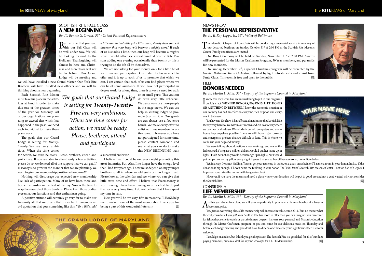

SCOTTISH RITE FALL CLASS A NEW BEGINNING

*By: Ill. Bennie G. Owens, 33° - Orient Personal Representative*

 $B<sub>this</sub>$  our Fall Class will  $\overline{b}$ be well under way. We will be looking forward to the Holidays. Thanksgiving will almost be here and Christmas and New Years will not be far behind. Our Grand Lodge will be meeting and

we will have installed a new Grand Master. Our York Rite Brothers will have installed new officers and we will be thinking about a new beginning.

Each Scottish Rite Mason must take his place in the activities at hand in order to make this one of the greatest times of the year for Masonry. All of our organizations are planning to exceed that which has happened in the past. We need each individual to make these plans work.

The goals that our Grand Lodge is setting for *Twenty-Twenty-Five* are very ambitious. When the time comes

for action, we must be ready. Please, brethren, attend and participate. If you are able to attend only a few activities, please do so, we do need all of the support that we can get. If masonry is to grow in the manner that we are planning, we need to give our membership positive action, now!!!

Nothing will discourage our expected new membership like lack of participation. Many of us have been there and borne the burden in the heat of the day. Now is the time to reap the rewards of those burdens. Please keep those bodies present at our functions and that enthusiasm going.

A positive attitude will certainly go very far to make our fraternity all that we dream that it can be. I remember an old quotation that goes something like this, "*To a little, add*

Next year will be my sixty-fifth in masonry, PLEASE help me to make it one of the most memorable. Thank you for being a part of this wonderful fraternity.  $\mathscr{U}_A$ 

*a little and to that little yet a little more, shortly then you will discover that your heap will become a mighty store*." If each of us just adds a little, then our heap will become a mighty store. I would rather see several hundred Scottish Rite Masons adding one evening occasionally than twenty or thirty trying to do the job all by themselves.

The Meredith Chapter of Rose Croix will be conducting a memorial service in memory of our departed brethren on Sunday, October 31<sup>st</sup> at 2:00 PM at the Scottish Rite Masonic Center. Family and friends are invited.

Our Ring Ceremony will be held on Sunday, November 21<sup>st</sup> at 2:00 PM. Awards will be presented for the Master Craftsman Program, 50 Year members, and pyramids for new members.

On Sunday, December 12<sup>th</sup>, a special Christmas program will be presented by the *Greater Baltimore Youth Orchestra*, followed by light refreshments and a visit from Santa Claus. This event is free and open to the public.

# HELP!

We are not asking for your money, only for a little bit of your time and participation. Our fraternity has so much to offer and it is up to each of us to promote that which we can. I am certain that each of us can find places where we can be of some assistance. If you have not participated in degree work for a long time, there is always a need for walk

> **I** know this may seem like an unusual thing to put in our magazine,<br>but it is a fact. WE NEED DONORS, BIG ONES, LITTLE ONES **OR ANYTHING IN BETWEEN**. I know the economic situation in our country has had an effect on everyone, rich or poor, and everyone in between.

on or small parts. This you can do with very little rehearsal. We can always use more people in the stage crews. We can use help in visiting lodges to promote Scottish Rite. Our greeters can always use a few extra hands. We make every effort to enlist our new members in active roles. If, however you have not participated for some time, please contact someone and see what you can do to make this NEW BEGINNING truly

> Yet, in a way, I was not kidding. You can get your name up in lights, on a door, on a chair, or I'll name a room in your honor. In fact, if the donation is big enough, I'll even name the Building in your honor. The "*John Jones*" Scottish Rite Masonic Center – not too bad of a legacy. I hope everyone takes the humor with tongue-in-cheek.

> However, if you have the means and need a place where your donation will be put to good use and not a cent wasted, why not consider the Scottish Rite. The Scottish Rite.

a successful endeavor.

I believe that I could be out every night promoting this great fraternity. But, Alas, I no longer have the energy level that I had few years ago. I now must depend on my younger brothers to fill in where we old goats can no longer tread. Please look at the calendar and see where you can give that little extra time and effort. I believe that Freemasonry is worth saving. I have been making an extra effort to do just that for a very long time. I do not believe that I have spent my time in vain.



### NEWS FROM THE PERSONAL REPRESENTATIVE

*By: Ill. E. Ray Leppo, Jr., 33° , Valley of Baltimore*

# DONORS NEEDED

*By: Ill. Marlin L. Mills, 33° - Deputy of the Supreme Council in Maryland*

You have no idea how it has affected donations to the Scottish Rite. We try very hard to live within our means and cut costs everywhere we can practically do so. We refurbish our old computers and use in house help anywhere possible. There are still those major projects and emergency projects that are difficult to fund. This is where we could use your help and money.



We were talking about donations a few weeks ago and one of the ladies asked if she gave a million dollars, would I put her name up in lights? I told her not only would her name go up in lights, but I would

put her picture on my pillow every night. I guess that scared her off because so far, no million dollars.

*The goals that our Grand Lodge is setting for Twenty-Twenty-Five are very ambitious. When the time comes for action, we must be ready. Please, brethren, attend and participate.*

#### consider a LIFE MEMBERSHIP

*By: Ill. Marlin L. Mills, 33° - Deputy of the Supreme Council in Maryland*

As this year draws to a close, so will your opportunity to purchase a life membership at a bargain basement price.

Yes, just as everything else, a life membership will increase in value come 2011. But, no matter what the cost, consider all you get! Your Scottish Rite has more to offer than you can imagine. You can come for fellowship, come to watch or partake in new degrees, increase your personal and Masonic education through the Master Craftsman program, or you can come for our delicious meals on Thursday and before each lodge meeting and you don't have to dine "alone" because your significant other is always welcome.

I could go on and on, but I think you get the picture. The Scottish Rite is a good deal for all of our dues

### The RITENEWS of Maryland The RITENEWS of Maryland





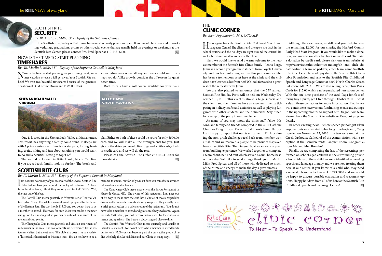

#### SCOTTISH RITE **SECURITY**

The Scottish Rite, Valley of Baltimore has several security positions open. If you would be interested in working weddings, graduations, proms or other special events that are usually held on evenings or weekends at the Scottish Rite Center, please contact Bro. Fred Spicer at 410-243-3200.

**Constitution** 

*By: Ill. Marlin L. Mills, 33° - Deputy of the Supreme Council*

### NOW IS THE TIME TO START PLANNING TIMESHARES

*By: Ill. Marlin L. Mills, 33° - Deputy of the Supreme Council in Maryland*

Now is the time to start planning for your spring break, sum-mer vacation or even a fall get away. Your Scottish Rite can help! We own two beautiful timeshares because of the generous donations of PGM Bennie Owens and PGM Bill Clark.

> Please call the Scottish Rite Office at 410-243-3200 for more details.

### **THE** CLINIC CORNER

One is located in the Shenandoah Valley at Massanutten. This resort has anything a family could want. It sleeps six with 2 private entrances. There is a water park, fishing, boating, crafts, hiking and just about anything you would want to do and a beautiful setting to top it off.

The second is located in Kitty Hawk, North Carolina. If you are a beach family, look no further. The beach and

surrounding area offers all any sun lover could want. Perhaps you don't like crowds, consider the off season for quiet beach time.

Both resorts have a golf course available for your daily

We are also pleased to announce that the 23<sup>rd</sup> annual Scottish Rite Holiday Party will be held on Wednesday, December 15, 2010. This event is always a huge success and the clients and their families have an excellent time participating in holiday crafts and activities, as well as playing fun games with other students and their clinicians. Stay tuned for a recap of the party in our next issue.

play. Either or both of these could be yours for only \$500.00 each and we will make all the arrangements for you. Just give us the dates you would like to go and a little cash, check or credit card and we will do the rest.



*By: Eleni Popomaronis, M.S, CCC-SLP*

Hello again from the Scottish Rite Childhood Speech and Language Center! The clients and therapists are back in the school routine and the holidays are right around the corner! It's such a busy time for all of us here at the clinic.

First, we would like to send a warm welcome to the newest member of the Scottish Rite Clinic family – Jenna Berge. Jenna is a second year graduate student from Loyola University and has been interning with us this past semester. She has been a tremendous asset here at the clinic and the children have learned a lot from her! We look forward to a great rest of the semester with Jenna.

> Finally, we are completing the last of the screenings performed on school-aged children in the surrounding private schools. Many of these children were identified as needing speech and language therapy and we are now treating them here at our center. If you know of a child who may need a referral, please contact us at 410.243.3800 and we would be happy to discuss possible evaluation and treatment options. Happy holidays from all of us here at the Scottish Rite Childhood Speech and Language Center!

I am not sure how many of you are aware of the several Scottish Rite clubs that we have just around the Valley of Baltimore. At least from the attendance, I think they are very well kept SECRETS. Well, the cat's out of the bag.

As many of you may know, the clinic staff, fellow Masons, and family and friends competed in the 2010 Catholic Charities Dragon Boat Races in Baltimore's Inner Harbor. I am happy to report that our team came in 1<sup>st</sup> place during the non-profit challenge race! Each team member won a t-shirt and we received a plaque to be proudly displayed here at Scottish Rite. The Dragon Boat races were a great team building experience. We worked together to complete a team chant, hat, and tent which served as our "home base" on race day. We'd like to send a huge thank you to Marlin Mills, Fred Spicer, and all of those who dedicated so much of their time and energy to make the day a great success!





The Scottish Rite Woman's Club meets quarterly and usually at Patrick's Restaurant. You do not have to be a member to attend lunch, but for only \$5.00 you can become part of a very active group of ladies who help the Scottish Rite and our Clinic in many ways.  $\mathscr{U}_A$ 

Although the race is over, we still need your help to raise the remaining \$2,000 for our charity, the Harford County Early Head Start Program. If you would like to make a donation, you may do so either by check or credit card. To make a donation by credit card, please visit our team website at http://cservice.catholiccharities-md.org/db and click donate to/find a team or paddler; enter team name Scottish Rite. Checks can be made payable to the Scottish Rite Charitable Foundation and sent to the Scottish Rite Childhood Speech and Language Center at 3800 North Charles Street, Baltimore, MD 21218. We are also selling Papa John's Pizza Cards for \$15.00 which can be purchased here at our center. With the one-time purchase of the card, Papa John's is offering buy 1 pizza, get 1 free through October 2011….what a deal! Please contact us for more information. Finally, we will continue to have various fundraising events and outings in the upcoming months to support our Dragon Boat team. Please check the Scottish Rite website or Facebook page for

details.

In other exciting news…fellow speech pathologist Eleni Popomaronis was married to her long time boyfriend, Craig Bowden on November 13, 2010. The two were wed at The Greek Orthodox Cathedral of the Annunciation with a reception at the Camden Yards Banquet Room. Congratulations Mr. and Mrs. Bowden!

# SCOTTISH RITE CLUBS

*By: Ill. Marlin L. Mills, 33° - Deputy of the Supreme Council in Maryland*

The Carroll Club meets quarterly in Westminster at Door to Virtue Lodge. They offer a delicious meal usually prepared by the ladies of the Eastern Star. The cost is only \$15.00 and you do not have to be a member to attend. However, for only \$5.00 you can be a member and get on their mailing list so you can be notified in advance of the menu and club events.

The Chesapeake Club meets quarterly and visits an assortment of restaurants in the area. The cost of meals are determined by the restaurant visited, but at cost only. This club also does trips to a variety of historical, educational or Masonic sites. You do not have to be a

member to attend, but for only \$10.00 dues you can obtain advance information about activities.

The Conowingo Club meets quarterly at the Bayou Restaurant in Havre de Grace, MD. The owner of this restaurant, Lou, goes out of his way to make sure the club has a choice of meats, vegetables, drinks and homemade desserts at a very low price. They usually have a brief guest speaker in a private room of the restaurant. You do not have to be a member to attend and guests are always welcome. Again, for only \$5.00 dues, you will receive notices sent by the club as to menus and speakers. The Bayou is always a good place to dine.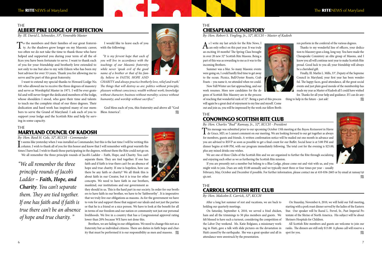### The ALBERT PIKE LODGE OF PERFECTION

*By: Ill. David L. Schneider, 33°, Venerable Master*

To the members and their families of our great fraterni- $\perp$  ty. As the shadows grow longer on my Masonic career, too often we do not take the time to thank those who have helped and supported you during your term of all the offices you have been fortunate to serve. I want to thank each of you for your friendship and brotherly love extended to not only to me but also to my wife Eileen who has been my best advisor for over 53 years. Thank you for allowing me to serve and be part of this great fraternity.

*CHARITY* and always practice brotherly love, relief and truth.' *The things that will destroy us are: politics without principle; pleasure without conscience; wealth without work; knowledge without character; business without morality; science without humanity; and worship without sacrifice."*

I want to extend my special thanks to Howard Lodge No. 101 who allowed me to receive the three degrees of masonry and serve as Worshipful Master in 1971. I will be ever grateful and will never forget the dedicated members of the lodge, whose shoulders I stood, who gave their time and talents to teach me the complete ritual of our three degrees. Their dedication and hard work has inspired many of our members to serve the Grand of Maryland. I ask each of you to support your lodge and the Scottish Rite and help by serving in some capacity.

It seems like yesterday when I was installed as Commander, but this is the last time I will be writing this column. I wish to thank all of you for this honor and know that I will remember with great warmth the T t seems like yesterday when I was installed as Commander, but this is the last time I will be writing this times I have had. I wish to thank those participating in the degrees, without them the Rite could not go on. We all remember the three principle rounds of Jacob's Ladder – Faith, Hope, and Charity. You can't

#### I would like to leave each of you with the following:

*"It is my fervent hope that each of you will live in accordance with the teachings of our Masonic fraternity while never 'speak evil of the good name of a brother or that of his family, believe in FAITH, HOPE AND*

Brothers, we are failing in our obligations. We need to change this not as a fraternity but as individual citizens. There are duties in faith hope and charity that must be performed it is our responsibility as men and masons.  $\mathscr{W}_A$ 



God bless each of you, this fraternity and above all "God Bless America".

#### The MARYLAND COUNCIL OF KADOSH

### **THE** CHESAPEAKE CONSISTORY

*By: Hon. Reed H. Cole, 32°, KCCH - Commander*

 $A$ <sup>s I</sup> write my last article for the Rite News, I<br>Can only reflect on this past year. It was truly an exciting 10 months! The Spring Class brought in over 20 new 32° Scottish Rite Masons. Being a part of this was as rewarding to me as it was to the incoming Brothers.

> Finally, Ill. Marlin L. Mills, 33°, Deputy of the Supreme Council in Maryland, your first year has been wonderful. The happy faces, good attendance, all the great social events and just plain good morale of the membership has made my year as Master of Kadosh all I could have wished for. Thanks for all your help and guidance. If I can do anything to help in the future – just ask!

separate them. They are tied together. If one has faith and if faith is true there can't be an absence of hope and true charity. If one is hopeless, how can there be any faith or charity? We all think this is about faith in our Creator, but it is true for other concepts. We need to have faith in our brothers, mankind, our institutions and our government as

they should in us. This is the hard part in our society. In order for our brothers to have faith in our brother, we have to be 'faithworthy' . It is imperative that we truly live our obligations as masons. As for the government we have to vote for and support those that support our ideals and not just the parties or that he is a friend or a nice person. We have to look at the benefit for all in terms of our freedom and our nation or community not just our personal livelihoods. We live in a country that has a Congressional approval rating lower than 20% because WE have not done this.

This message was submitted prior to our upcoming October 15th meeting at the *Bayou Restaurant* in Havre de Grace, MD, so I cannot comment on our meeting. We are looking forward to our get together as always for members, guests and friends. A written confirmation notice will be mailed out one month in advance and you are advised to RSVP as soon as possible to get a final count for our Buffet. Social hour is at 5:00 PM and dinner begins at 6:00 PM, with our program immediately following. The total cost for the evening is \$25.00, plus any mixed drinks one wishes.

If you are presently not a member but belong to a Blue Lodge, please come out and visit with us, and you might wish to join. Dues are only \$5.00 annually and we typically meet three or four times per year – usually February, May, October and December if possible. For further information, please contact me at 410-836-2603 or by email at ramsay1@  $q$ is.net.  $\mathscr{W}_{\ell}$ 

*"We all remember the three principle rounds of Jacob's Ladder – Faith, Hope, and Charity. You can't separate them. They are tied together. If one has faith and if faith is true there can't be an absence of hope and true charity. "*

> All Scottish Rite members and guests are welcome to join our ranks. The dinners are still only \$15.00 A phone call will reserve a spot for you.  $\mathscr{W}_{\mathscr{U}}$

*By: Hon. Robert S. Yingling, Jr., 32°, KCCH – Master of Kadosh*

Summer was a blur. So many Masonic events were going on, I could hardly find time to get away to the ocean. Picnics, Bull/Oyster Roasts, Crab Feasts – you name it, we attended when we could.

Now Fall/Winter are fast approaching, and our work resumes. More new candidates for the degrees of Scottish Rite Masonry are in the process



of reaching that wonderful rank of 32°. Being a part of this process will again be a great deal of enjoyment to my line and myself. Come out and join us, you will be impressed by the work our fellow Brethren perform in the conferral of the various degrees.

Thanks to my wonderful line of officers, your dedication to Masonry goes a long, long way. You have made the Chesapeake Consistory an elite group of Masons, and I know you all will continue next year to make Scottish Rite proud. Good luck to you all; your friendship will always be a cherished gift.



#### The CONOWINGO SCOTTISH RITE CLUB

*By: Hon. Charles "Bud" Ramsay, Jr., 32°, KCCH - President*

We are one of three Clubs of the Scottish Rite and we are organized to further the Rite through socializing and enjoying each other as we as furthering the Scottish Rite mission.

#### The CARROLL SCOTTISH RITE CLUB

*By: Hon. Malcolm E. Carrick, 32°, KCCH*

After a long hot summer of rest and vacations, we are back to holding our quarterly meetings.

On Saturday, September 4, 2010, we served a fried chicken, ham and all the trimmings to 50 plus members and guests. We felt blessed to have such a turnout, considering the competition of the Labor Day weekend. Ms. Katie Bolgiano, a missionary working in Haiti, gave a talk with slide pictures on the devastation in Haiti caused by the earthquake. She was a great speaker and all in attendance were awestruck by the presentation.

On Staurday, November 6, 2010, we will hold our Fall meeting, starting with a pork roast dinner served by the ladies of the Eastern Star. Our speaker will be Raoul L. Frevel, Sr., Past Imperial Potentate of the Shrine of North America. His subject will be about Shriners Hospitals for Children.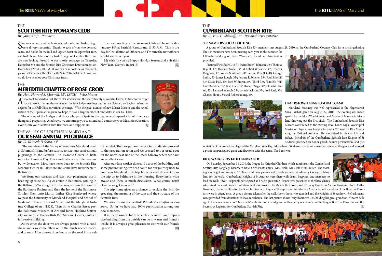







## The CUMBERLAND SCOTTISH RITE

*By: Ill. Paul G. Shircliff, 33° - Personal Representative*

#### **33° MEMBERS SOCIAL OUTING**

A group of Cumberland Scottish Rite 33º members met August 29, 2010, at the Cumberland Country Club for a social gathering. The 33º members have been meeting each year in the summer for fellowship and a good meal. Wives attend and entertainment is provided.

Pictured First Row (L to R): Irvin (Butch) Johnson, 33º; Thomas Bryant, 33º; Howard Brode, 33º; M Robert Wheatley, 33º; Charles Ridgeway, 33º; Wayne Shidmore, 33º. Second Row (L to R): George Smith, 33º;James Lough, 33º; Jerome Robinette, 33º; Paul Shircliff, 33º; David Hall, 33º; Fred Widmyer, 33º. Third Row (L to R): William Bundick, 33º; Ivan Hall, 33º, Robert Biggs, 33º; Donald Hansel, 33º; Leonard Schwab, 33º; Lonnie Jackson, 33º; Fred Reel, 33º; Charles Hout, 33º; and Robert Young, 33º.





On Saturday, September 18, 2010, the League for Crippled Children which administers the Cumberland Scottish Rite Language Disorder Clinic, helds its 8th annual Kids Walk/ Kids Talk Fund Raiser. The morning was bright and sunny as 25 clients and their parents and friends gathered at Allegany College of Maryland for the walk. Cumberland Knights of St Andrew were there with drum, bagpipes, and marchers to lead the walk. Over 150 people participated and had a great time. Prizes were presented to the three clients who raised the most money. Entertainment was provided by Mandy, the Clown, and by Lucky Dog from Aaron's Furniture Store. Cathy Growden, Executive Director, the Speech Clinicians, Physical Therapists, Administrative Assistants, and members of the Board of Directors were in attendance. A group picture taken after the walk shows those who attended and the Knights of St Andrew. Refreshments were provided from donations of local merchants. The last picture shows Jerry Robinette, 33º, holding his great grandson, Vincent Seib. age 2. He was a member of "Team Seib" with his mother and grandmother. Jerry is a member of the League Board of Directors and the Secretary/ Registrar for Cumberland Scottish Rite.

#### **HAGERSTOWN SUNS BASEBALL GAME**

Maryland Masonry was well represented at the Hagerstown Suns Baseball game on August 27, 2010. The evening was made special by the Most Worshipful Grand Master of Masons in Maryland throwing out the first pitch. The Cumberland Scottish Rite Masons contributed to the evening also. Lance Nigh, Worshipful Master of Hagerstown Lodge #84, and a 32º Scottish Rite Mason sang the National Anthem. He was attired in his clan kilt and jacket. Members of the Cumberland Scottish Rite Knights of St Andrews provided an honor guard, banner presentation, and pre-



sentation of the American Flag and the Maryland state flag. More than 100 Masons and family members attended the game and enjoyed a picnic supper, a good game and fireworks after the game. The Suns won!

#### **KIDS WALK/ KIDS TALK FUNDRAISER**

 $\Lambda$  swe look forward to Fall, the cooler weather and the yearly beauty of colorful leaves, it's time for us to get back to work. Let us also remember the four lodge meetings and in late October, we begin conferral of degrees for the Fall Class on various evenings. With the great number of new Master Masons and the revitalization of the Diplomat Program, we hope to have a large number of candidates in our Fall Class.

#### **THE** SCOTTISH RITE WOMAN'S CLUB

Summer is over, and the book sale/bake sale, and basket bingo<br>were all very successful. Thanks to each of you who donated cakes, and books for the Bull and Oyster Roast on September 18th, and baskets and fillers for the basket bingo on October 10th. We are now looking forward to our cookie exchange on Thursday, December 9th and the Scottish Rite Christmas Entertainment on December 12th at 2:00 P.M. If you can bake cookies for this event, please call Sharon at the office, 410-243-3200 and let her know. We would love to enjoy your Christmas treats.

My wish for you is a Happy Holiday Season, and a Healthy New Year. See you in 2011!!!

# **THF**

# MEREDITH CHAPTER OF ROSE CROIX

*By: Hon. Howard S. Maxwell, 32°, KCCH – Wise Master*

It is really wonderful how such a beautiful and impressive building from the outside can be so warm and friendly inside. It is always a great pleasure to visit with our friends up north.  $\mathscr{W}_4$ 

The officers of the Lodges and those who participate in the degree work spend a lot of time practicing and preparing. As always, we encourage you to attend and continue your Masonic education. Come join your Scottish Rite Brethren and support us.

*By: Janet Kraft - President*

The next meeting of the Woman's Club will be on Friday, January 14<sup>th</sup> at Patrick's Restaurant, 11:30 A.M. This is the day for Installation of Officers, and I'm sure the new officers would love to see you.



#### *By: Ill. Kenneth H Sebra, 33°*

 The members of the Valley of Southern Maryland meet at Solomon's Island before sunrise to start our semi-annual pilgrimage to the Scottish Rite Masonic Center in Baltimore for Reunion Day. Our candidates are a little nervous but wide awake. Most have never been to the Scottish Rite Masonic Center in Baltimore and some have never been to Baltimore.

We form our caravan and start our pilgrimage north heading up route 2/4. As we arrive in Baltimore, coming in the Baltimore-Washington express way, we pass the home of the Baltimore Ravines and then the home of the Baltimore Orioles. Then onto Martin Luther King Boulevard where we pass the University of Maryland Hospital and School of Medicine. Then up Howard Street past the Maryland Institute College of Art (1826). Then on to Charles Street past the Baltimore Museum of Art and Johns Hopkins University, we arrive at the Scottish Rite Masonic Center, quite an impressive building.

As we enter the door we are always greeted with a hand shake and a welcome. Then on to the much needed coffee and donuts. After almost three hours on the road it is a welcome relief. Then we part our ways. Our candidates proceed to the preparation room and we proceed to our usual spot on the north-east side of the lower balcony where we have an excellent view.

After our days work is done and a tour of the building and some picture taking, we head south for our journey back to Southern Maryland. The trip home is very different from the trip up to Baltimore in the morning. Everyone is wide awake and there is much discussion. What comes next? How do we get involved?

The trip home gives us a chance to explain the 14th degree ring, the meaning of the caps and the structure of the Scottish Rite.

We also discuss the S*cottish Rite Master Craftsman Program*. So far we have had 100% participation among our new members.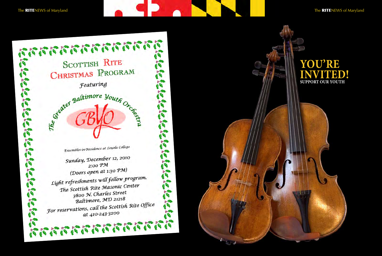The RITENEWS of Maryland The RITENEWS of Maryland



Sunday, December 12, 2010 2:00 PM (Doors open at 1:30 PM) Light refreshments will follow program. The Scottish Rite Masonic Center 3800 N. Charles Street Baltimore, MD 21218 Baltimore, 5ND 2122<br>For reservations, call the Scottish Rite Office at 410-243-3200

E.



# **You're VITHED! SUPPORT OUR YOUTH**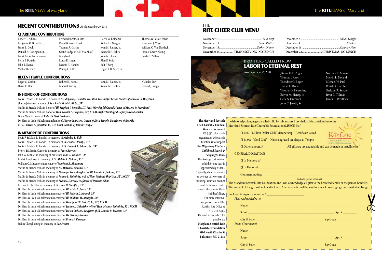# RECENT CONTRIBUTIONS As of September 29, 2010

### The RITENEWS of Maryland The RITENEWS of Maryland

#### CHARITABLE CONTRIBUTIONS

| Robert T. Adkins           | Frederick Scottish Rite       |
|----------------------------|-------------------------------|
| Benjamin O. Brookhart, III | Raoul & Rosie Frevel          |
| James L. Cook              | Thomas A. Garner              |
| Donald K. Covington, Jr.   | Grand Lodge of A.F. & A.M. of |
| Frank & Cecilia Desimone   | Maryland                      |
| Bettie J. Dunkin           | Linda P. Hagan                |
| John T. Evans              | Dennis R. Hamlet              |
| Michael G. Faby            | Phillip L. Killen             |
|                            |                               |

Harry W. Kolodner Richard P. Naegele John M. Raines, Jr. Kenneth H. Sebra John M. Sloan Alan P. Smith Rolf P. Sorg Logan E.H. Starr, Sr. Thomas & Carole Velvin Raymond J. Vogel William C. Von Nordeck John & Cheryl Young Linda L. Zollars

# RECENT TEMPLE CONTRIBUTIONS

| Roger C. Corbin | Robert H. Koons | John M. Raines, Jr. | Nicholas Tur    |
|-----------------|-----------------|---------------------|-----------------|
| David E. Dom    | Michael Kuriny  | Kenneth H. Sebra    | Donald J. Vargo |

#### in honor of CONTRIBUTIONS

Louis F. & Melis R. Bandell in honor of *Ill. Stephen J. Ponzillo, III, Most Worshipful Grand Master of Masons in Maryland* Sharon Johnston in honor of *Rev. Leslie G. Metcalf, Sr., 33°*

Marlin & Brenda Mills in honor of *Ill. Stephen J. Ponzillo, III, Most Worshipful Grand Master of Masons in Maryland* Marlin & Brenda Mills in honor of *Hon. Gerald E. Piepiora, 32°, KCCH, Right Worshipful Deputy Grand Master* Diane Neas in honor of *Robert's First Birthday*

Dr. Hans & Leah Wilhelmsen in honor of *Sharon Johnston, Queen of Zitta Temple, Daughters of the Nile & Ill. Charles L. Johnston, Jr., 33°, Chief Rabban of Boumi Temple*

#### In Memory of CONTRIBUTIONS

### **THE** RITE CHEER CLUB MENU

Louis F. & Melis R. Bandell in memory of *Nicholas L. Vidi* Louis F. & Melis R. Bandell in memory of *Ill. Paul M. Phelps, 33°* Louis F. & Melis R. Bandell in memory of *Ill. Donald A. Adams, Sr., 33°* Evelyn & Marvin Comer in memory of *Mace Barrow* John W. Kinnier in memory of his father, *John A. Kinnier, 32°* Paul & Ann Lloyd in memory of *Ill. Melvin L. Noland, 33°* William C. Masemore in memory of *Marjean B. Masemore* Marlin & Brenda Mills in memory of *Ill. Melvin L. Noland, 33°* Marlin & Brenda Mills in memory of *Dawn Jackson, daughter of Ill. Lonnie R. Jackson, 33°* Marlin & Brenda Mills in memory of *Jeanne L. Shiptisky, wife of Hon. Michael Shiptisky, 32°, KCCH* Marlin & Brenda Mills in memory of *Frank J. Hormes, Jr., father of Darlene Alban* Patricia A. Shreffler in memory of *Ill. Lynn D. Shreffler, 33°* Dr. Hans & Leah Wilhelmsen in memory of *Ill. Alvin E. Jones, 33°* Dr. Hans & Leah Wilhelmsen in memory of *Ill. Melvin L. Noland, 33°* Dr. Hans & Leah Wilhelmsen in memory of *Ill. William W. Mangels, 33°* Dr. Hans & Leah Wilhelmsen in memory of *Hon. John W. Pickett, Jr., 32°, KCCH* Dr. Hans & Leah Wilhelmsen in memory of *Jeanne L. Shiptisky, wife of Hon. Michael Shiptisky, 32°, KCCH* Dr. Hans & Leah Wilhelmsen in memory of *Dawn Jackson, daughter of Ill. Lonnie R. Jackson, 33°* Dr. Hans & Leah Wilhelmsen in memory of *Dr. Sammy Brahim* Dr. Hans & Leah Wilhelmsen in memory of *Frank F. Favazza* Jack & Cheryl Young in memory of *Leo Frantz*

#### Brothers called from Labor to eternal rest

As of September 29, 2010



JKenneth D. A Thomas J. Axon Theodore C. Bo Daniel L. Drake Thomas D. Fler Edwin M. Henr Gene S. Humm John C. Jacobi,

| ger    | Norman R. Magin   |
|--------|-------------------|
|        | Melvin L. Noland  |
| yer    | Michael W. Paal   |
|        | Ronald C. Reuter  |
| nming  | Sheldon R. Snyder |
| y, Jr. | Irvin C. Tillman  |
| el     | James R. Whitlock |
| Sr.    |                   |

| November 25  THANKSGIVING-NO LUNCH | December |
|------------------------------------|----------|
|                                    | December |
|                                    | December |
|                                    | December |

| December 23 CHRISTMAS-NO LUNCH |
|--------------------------------|
|                                |
|                                |
|                                |
|                                |

| I wish to help a language-disabled child by this enclosed tax-deductible contribution to the<br>Maryland Scottish Rite Charitable Foundation (MSRCF, Inc.)                                                                                          |                                                      |
|-----------------------------------------------------------------------------------------------------------------------------------------------------------------------------------------------------------------------------------------------------|------------------------------------------------------|
| □ \$100-"Million Dollar Club" Membership - Certificate issued                                                                                                                                                                                       |                                                      |
| $\square$ \$1,000-"Gold Club" - Name engraved on plaque at Temple                                                                                                                                                                                   | Scottish Rite Masons<br>Helping Children Communicate |
| □ Other amount \$<br><u>□ Other amount \$</u><br>2. All gifts are tax deductable and can be made in installments                                                                                                                                    |                                                      |
| <b>GENERAL DONATIONS</b>                                                                                                                                                                                                                            |                                                      |
|                                                                                                                                                                                                                                                     |                                                      |
| $\Box$ In Honor of $\Box$                                                                                                                                                                                                                           |                                                      |
|                                                                                                                                                                                                                                                     |                                                      |
| The Maryland Scottish Rite Foundation, Inc., will acknowledge all gifts to the bereaved family or the person honored.<br>The amount of the gift will not be disclosed. A seprate letter will be sent to you acknowledging your tax-deductible gift. |                                                      |
|                                                                                                                                                                                                                                                     |                                                      |
| Please acknowledge to:                                                                                                                                                                                                                              |                                                      |
| Name and the contract of the contract of the contract of the contract of the contract of the contract of the contract of the contract of the contract of the contract of the contract of the contract of the contract of the c                      |                                                      |
|                                                                                                                                                                                                                                                     |                                                      |
|                                                                                                                                                                                                                                                     |                                                      |
| From: (Your name)                                                                                                                                                                                                                                   |                                                      |
|                                                                                                                                                                                                                                                     |                                                      |
|                                                                                                                                                                                                                                                     |                                                      |
|                                                                                                                                                                                                                                                     |                                                      |

| The Maryland Scottish         | I wish to he       |
|-------------------------------|--------------------|
| Rite Charitable Founda-       | Maryland S         |
| tion is a tax exempt          |                    |
| $501 (c)(3)$ charitable       |                    |
| organization whose sole       |                    |
| function is to support        |                    |
| the Hilgenberg RiteCare       |                    |
| Childhood Speech &            |                    |
| Language Clinic.              | <b>GENE</b>        |
| The Average cost to tutor     |                    |
| a child for one year is       |                    |
| approximately \$5,000.        |                    |
| Typically, children require   | C                  |
| an average of two years of    |                    |
| tutoring. Your tax-exempt     | The Maryla         |
| contribution can make         | The amoun          |
| a real difference in these    |                    |
| children's lives.             | <b>Enclosed</b> is |
| For more informa-             | Please             |
| tion, please contact the      |                    |
| Scottish Rite Office at       | N                  |
| 410-243-3200.                 | S <sub>i</sub>     |
| Or Send a check directly      |                    |
| payable to:                   |                    |
| <b>Maryland Scottish Rite</b> | From:              |
| <b>Charitable Foundation</b>  | N                  |
| 3800 North Charles St         |                    |
| Baltimore, MD 21218           | S                  |
|                               |                    |